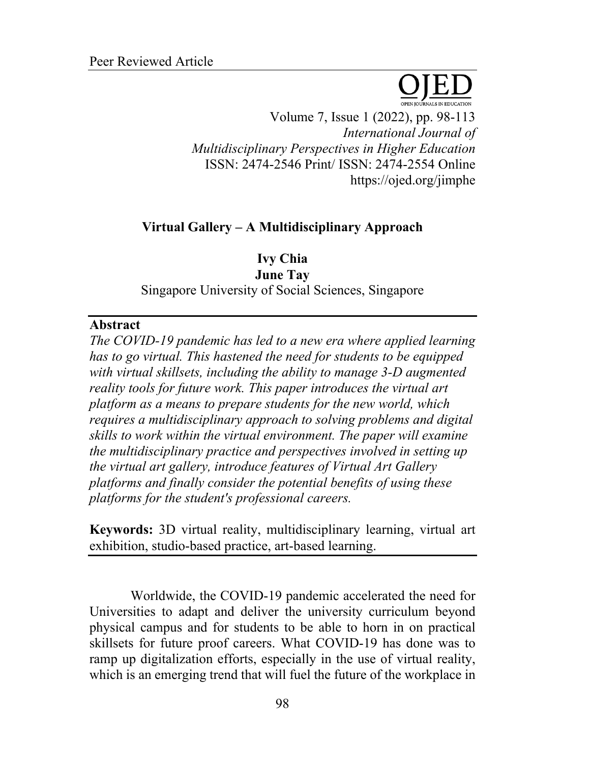

Volume 7, Issue 1 (2022), pp. 98-113 *International Journal of Multidisciplinary Perspectives in Higher Education* ISSN: 2474-2546 Print/ ISSN: 2474-2554 Online https://ojed.org/jimphe

# **Virtual Gallery – A Multidisciplinary Approach**

**Ivy Chia June Tay** Singapore University of Social Sciences, Singapore

#### **Abstract**

*The COVID-19 pandemic has led to a new era where applied learning has to go virtual. This hastened the need for students to be equipped with virtual skillsets, including the ability to manage 3-D augmented reality tools for future work. This paper introduces the virtual art platform as a means to prepare students for the new world, which requires a multidisciplinary approach to solving problems and digital skills to work within the virtual environment. The paper will examine the multidisciplinary practice and perspectives involved in setting up the virtual art gallery, introduce features of Virtual Art Gallery platforms and finally consider the potential benefits of using these platforms for the student's professional careers.*

**Keywords:** 3D virtual reality, multidisciplinary learning, virtual art exhibition, studio-based practice, art-based learning.

Worldwide, the COVID-19 pandemic accelerated the need for Universities to adapt and deliver the university curriculum beyond physical campus and for students to be able to horn in on practical skillsets for future proof careers. What COVID-19 has done was to ramp up digitalization efforts, especially in the use of virtual reality, which is an emerging trend that will fuel the future of the workplace in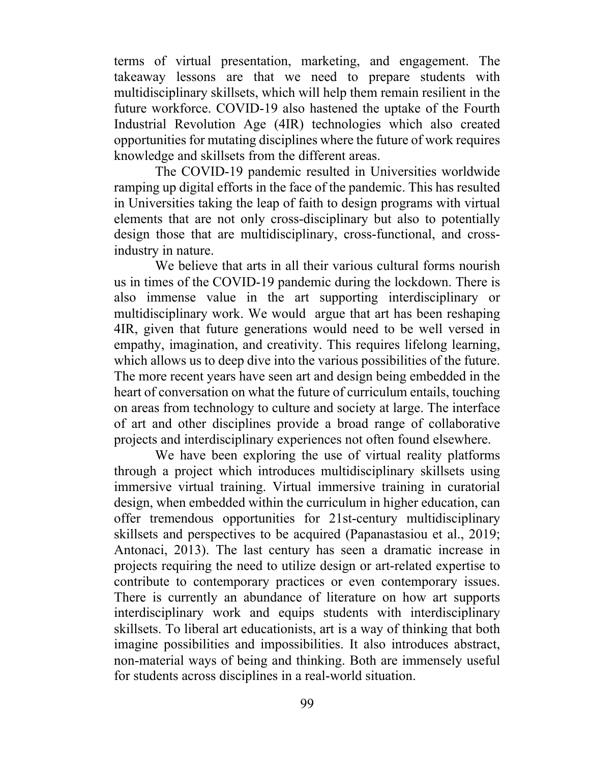terms of virtual presentation, marketing, and engagement. The takeaway lessons are that we need to prepare students with multidisciplinary skillsets, which will help them remain resilient in the future workforce. COVID-19 also hastened the uptake of the Fourth Industrial Revolution Age (4IR) technologies which also created opportunities for mutating disciplines where the future of work requires knowledge and skillsets from the different areas.

The COVID-19 pandemic resulted in Universities worldwide ramping up digital efforts in the face of the pandemic. This has resulted in Universities taking the leap of faith to design programs with virtual elements that are not only cross-disciplinary but also to potentially design those that are multidisciplinary, cross-functional, and crossindustry in nature.

We believe that arts in all their various cultural forms nourish us in times of the COVID-19 pandemic during the lockdown. There is also immense value in the art supporting interdisciplinary or multidisciplinary work. We would argue that art has been reshaping 4IR, given that future generations would need to be well versed in empathy, imagination, and creativity. This requires lifelong learning, which allows us to deep dive into the various possibilities of the future. The more recent years have seen art and design being embedded in the heart of conversation on what the future of curriculum entails, touching on areas from technology to culture and society at large. The interface of art and other disciplines provide a broad range of collaborative projects and interdisciplinary experiences not often found elsewhere.

We have been exploring the use of virtual reality platforms through a project which introduces multidisciplinary skillsets using immersive virtual training. Virtual immersive training in curatorial design, when embedded within the curriculum in higher education, can offer tremendous opportunities for 21st-century multidisciplinary skillsets and perspectives to be acquired (Papanastasiou et al., 2019; Antonaci, 2013). The last century has seen a dramatic increase in projects requiring the need to utilize design or art-related expertise to contribute to contemporary practices or even contemporary issues. There is currently an abundance of literature on how art supports interdisciplinary work and equips students with interdisciplinary skillsets. To liberal art educationists, art is a way of thinking that both imagine possibilities and impossibilities. It also introduces abstract, non-material ways of being and thinking. Both are immensely useful for students across disciplines in a real-world situation.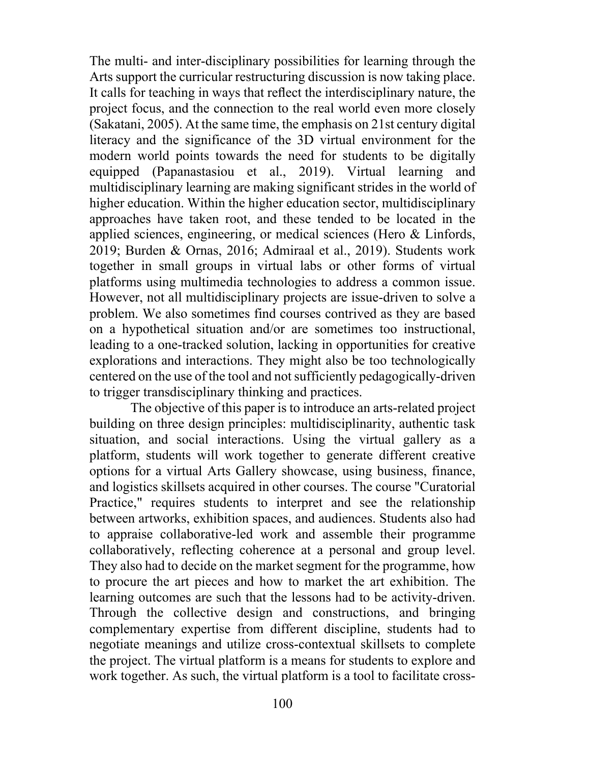The multi- and inter-disciplinary possibilities for learning through the Arts support the curricular restructuring discussion is now taking place. It calls for teaching in ways that reflect the interdisciplinary nature, the project focus, and the connection to the real world even more closely (Sakatani, 2005). At the same time, the emphasis on 21st century digital literacy and the significance of the 3D virtual environment for the modern world points towards the need for students to be digitally equipped (Papanastasiou et al., 2019). Virtual learning and multidisciplinary learning are making significant strides in the world of higher education. Within the higher education sector, multidisciplinary approaches have taken root, and these tended to be located in the applied sciences, engineering, or medical sciences (Hero & Linfords, 2019; Burden & Ornas, 2016; Admiraal et al., 2019). Students work together in small groups in virtual labs or other forms of virtual platforms using multimedia technologies to address a common issue. However, not all multidisciplinary projects are issue-driven to solve a problem. We also sometimes find courses contrived as they are based on a hypothetical situation and/or are sometimes too instructional, leading to a one-tracked solution, lacking in opportunities for creative explorations and interactions. They might also be too technologically centered on the use of the tool and not sufficiently pedagogically-driven to trigger transdisciplinary thinking and practices.

The objective of this paper is to introduce an arts-related project building on three design principles: multidisciplinarity, authentic task situation, and social interactions. Using the virtual gallery as a platform, students will work together to generate different creative options for a virtual Arts Gallery showcase, using business, finance, and logistics skillsets acquired in other courses. The course "Curatorial Practice," requires students to interpret and see the relationship between artworks, exhibition spaces, and audiences. Students also had to appraise collaborative-led work and assemble their programme collaboratively, reflecting coherence at a personal and group level. They also had to decide on the market segment for the programme, how to procure the art pieces and how to market the art exhibition. The learning outcomes are such that the lessons had to be activity-driven. Through the collective design and constructions, and bringing complementary expertise from different discipline, students had to negotiate meanings and utilize cross-contextual skillsets to complete the project. The virtual platform is a means for students to explore and work together. As such, the virtual platform is a tool to facilitate cross-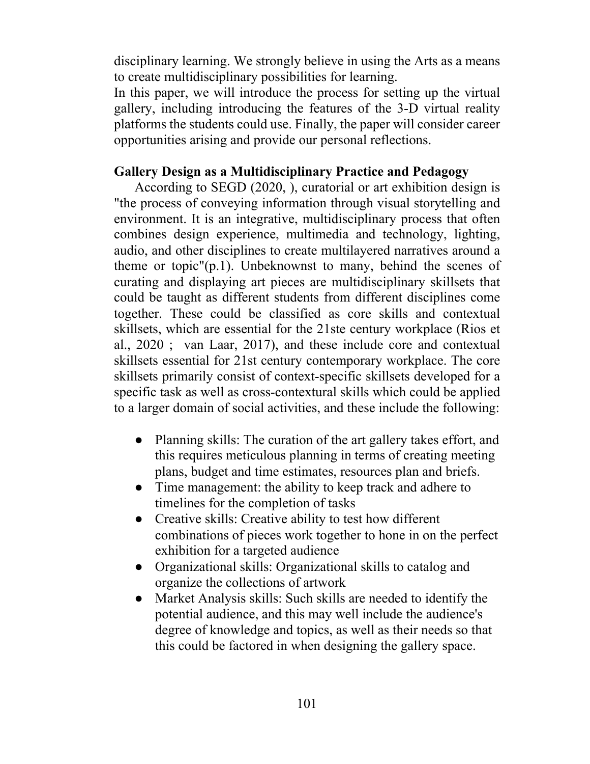disciplinary learning. We strongly believe in using the Arts as a means to create multidisciplinary possibilities for learning.

In this paper, we will introduce the process for setting up the virtual gallery, including introducing the features of the 3-D virtual reality platforms the students could use. Finally, the paper will consider career opportunities arising and provide our personal reflections.

### **Gallery Design as a Multidisciplinary Practice and Pedagogy**

According to SEGD (2020, ), curatorial or art exhibition design is "the process of conveying information through visual storytelling and environment. It is an integrative, multidisciplinary process that often combines design experience, multimedia and technology, lighting, audio, and other disciplines to create multilayered narratives around a theme or topic"(p.1). Unbeknownst to many, behind the scenes of curating and displaying art pieces are multidisciplinary skillsets that could be taught as different students from different disciplines come together. These could be classified as core skills and contextual skillsets, which are essential for the 21ste century workplace (Rios et al., 2020 ; van Laar, 2017), and these include core and contextual skillsets essential for 21st century contemporary workplace. The core skillsets primarily consist of context-specific skillsets developed for a specific task as well as cross-contextural skills which could be applied to a larger domain of social activities, and these include the following:

- Planning skills: The curation of the art gallery takes effort, and this requires meticulous planning in terms of creating meeting plans, budget and time estimates, resources plan and briefs.
- Time management: the ability to keep track and adhere to timelines for the completion of tasks
- Creative skills: Creative ability to test how different combinations of pieces work together to hone in on the perfect exhibition for a targeted audience
- Organizational skills: Organizational skills to catalog and organize the collections of artwork
- Market Analysis skills: Such skills are needed to identify the potential audience, and this may well include the audience's degree of knowledge and topics, as well as their needs so that this could be factored in when designing the gallery space.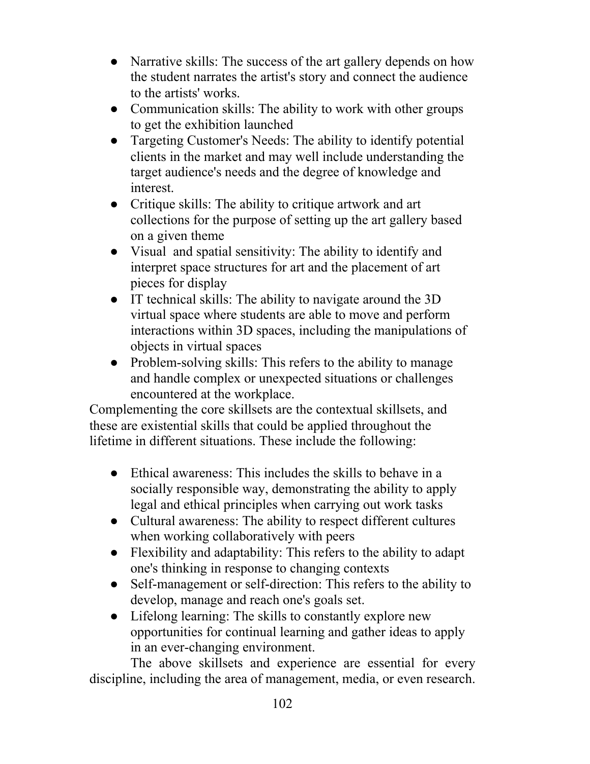- Narrative skills: The success of the art gallery depends on how the student narrates the artist's story and connect the audience to the artists' works.
- Communication skills: The ability to work with other groups to get the exhibition launched
- Targeting Customer's Needs: The ability to identify potential clients in the market and may well include understanding the target audience's needs and the degree of knowledge and interest.
- Critique skills: The ability to critique artwork and art collections for the purpose of setting up the art gallery based on a given theme
- Visual and spatial sensitivity: The ability to identify and interpret space structures for art and the placement of art pieces for display
- IT technical skills: The ability to navigate around the 3D virtual space where students are able to move and perform interactions within 3D spaces, including the manipulations of objects in virtual spaces
- Problem-solving skills: This refers to the ability to manage and handle complex or unexpected situations or challenges encountered at the workplace.

Complementing the core skillsets are the contextual skillsets, and these are existential skills that could be applied throughout the lifetime in different situations. These include the following:

- Ethical awareness: This includes the skills to behave in a socially responsible way, demonstrating the ability to apply legal and ethical principles when carrying out work tasks
- Cultural awareness: The ability to respect different cultures when working collaboratively with peers
- Flexibility and adaptability: This refers to the ability to adapt one's thinking in response to changing contexts
- Self-management or self-direction: This refers to the ability to develop, manage and reach one's goals set.
- Lifelong learning: The skills to constantly explore new opportunities for continual learning and gather ideas to apply in an ever-changing environment.

The above skillsets and experience are essential for every discipline, including the area of management, media, or even research.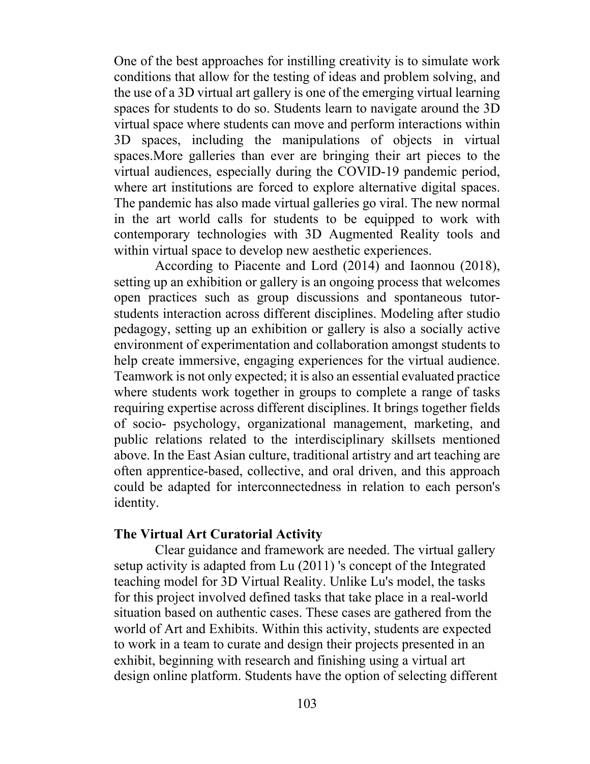One of the best approaches for instilling creativity is to simulate work conditions that allow for the testing of ideas and problem solving, and the use of a 3D virtual art gallery is one of the emerging virtual learning spaces for students to do so. Students learn to navigate around the 3D virtual space where students can move and perform interactions within 3D spaces, including the manipulations of objects in virtual spaces.More galleries than ever are bringing their art pieces to the virtual audiences, especially during the COVID-19 pandemic period, where art institutions are forced to explore alternative digital spaces. The pandemic has also made virtual galleries go viral. The new normal in the art world calls for students to be equipped to work with contemporary technologies with 3D Augmented Reality tools and within virtual space to develop new aesthetic experiences.

According to Piacente and Lord (2014) and Iaonnou (2018), setting up an exhibition or gallery is an ongoing process that welcomes open practices such as group discussions and spontaneous tutorstudents interaction across different disciplines. Modeling after studio pedagogy, setting up an exhibition or gallery is also a socially active environment of experimentation and collaboration amongst students to help create immersive, engaging experiences for the virtual audience. Teamwork is not only expected; it is also an essential evaluated practice where students work together in groups to complete a range of tasks requiring expertise across different disciplines. It brings together fields of socio- psychology, organizational management, marketing, and public relations related to the interdisciplinary skillsets mentioned above. In the East Asian culture, traditional artistry and art teaching are often apprentice-based, collective, and oral driven, and this approach could be adapted for interconnectedness in relation to each person's identity.

#### **The Virtual Art Curatorial Activity**

Clear guidance and framework are needed. The virtual gallery setup activity is adapted from Lu (2011) 's concept of the Integrated teaching model for 3D Virtual Reality. Unlike Lu's model, the tasks for this project involved defined tasks that take place in a real-world situation based on authentic cases. These cases are gathered from the world of Art and Exhibits. Within this activity, students are expected to work in a team to curate and design their projects presented in an exhibit, beginning with research and finishing using a virtual art design online platform. Students have the option of selecting different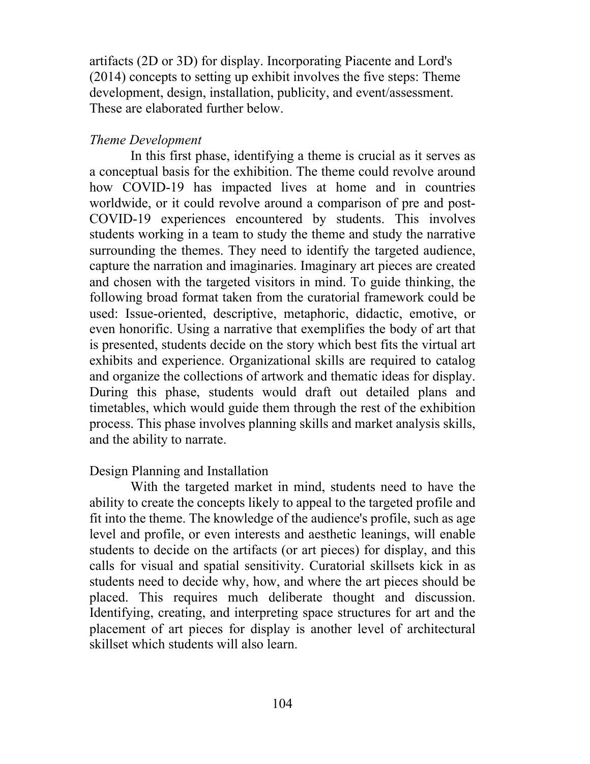artifacts (2D or 3D) for display. Incorporating Piacente and Lord's (2014) concepts to setting up exhibit involves the five steps: Theme development, design, installation, publicity, and event/assessment. These are elaborated further below.

## *Theme Development*

In this first phase, identifying a theme is crucial as it serves as a conceptual basis for the exhibition. The theme could revolve around how COVID-19 has impacted lives at home and in countries worldwide, or it could revolve around a comparison of pre and post-COVID-19 experiences encountered by students. This involves students working in a team to study the theme and study the narrative surrounding the themes. They need to identify the targeted audience, capture the narration and imaginaries. Imaginary art pieces are created and chosen with the targeted visitors in mind. To guide thinking, the following broad format taken from the curatorial framework could be used: Issue-oriented, descriptive, metaphoric, didactic, emotive, or even honorific. Using a narrative that exemplifies the body of art that is presented, students decide on the story which best fits the virtual art exhibits and experience. Organizational skills are required to catalog and organize the collections of artwork and thematic ideas for display. During this phase, students would draft out detailed plans and timetables, which would guide them through the rest of the exhibition process. This phase involves planning skills and market analysis skills, and the ability to narrate.

## Design Planning and Installation

With the targeted market in mind, students need to have the ability to create the concepts likely to appeal to the targeted profile and fit into the theme. The knowledge of the audience's profile, such as age level and profile, or even interests and aesthetic leanings, will enable students to decide on the artifacts (or art pieces) for display, and this calls for visual and spatial sensitivity. Curatorial skillsets kick in as students need to decide why, how, and where the art pieces should be placed. This requires much deliberate thought and discussion. Identifying, creating, and interpreting space structures for art and the placement of art pieces for display is another level of architectural skillset which students will also learn.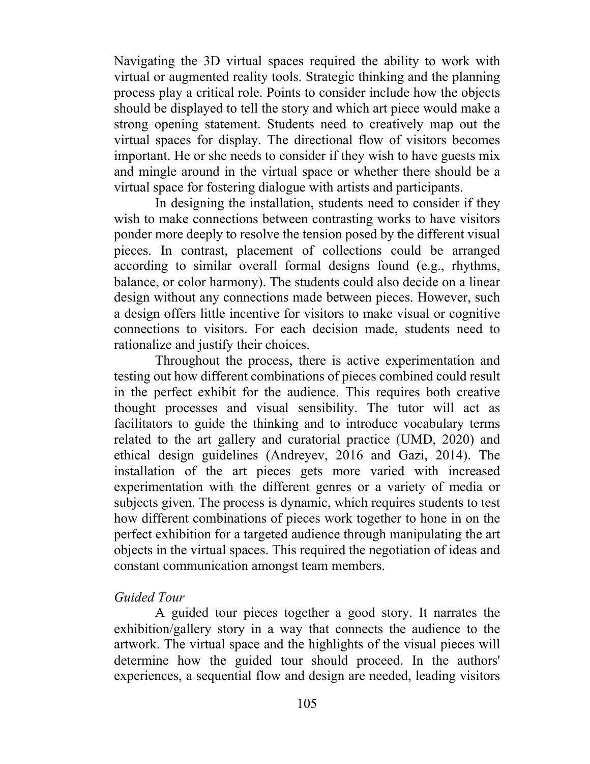Navigating the 3D virtual spaces required the ability to work with virtual or augmented reality tools. Strategic thinking and the planning process play a critical role. Points to consider include how the objects should be displayed to tell the story and which art piece would make a strong opening statement. Students need to creatively map out the virtual spaces for display. The directional flow of visitors becomes important. He or she needs to consider if they wish to have guests mix and mingle around in the virtual space or whether there should be a virtual space for fostering dialogue with artists and participants.

In designing the installation, students need to consider if they wish to make connections between contrasting works to have visitors ponder more deeply to resolve the tension posed by the different visual pieces. In contrast, placement of collections could be arranged according to similar overall formal designs found (e.g., rhythms, balance, or color harmony). The students could also decide on a linear design without any connections made between pieces. However, such a design offers little incentive for visitors to make visual or cognitive connections to visitors. For each decision made, students need to rationalize and justify their choices.

Throughout the process, there is active experimentation and testing out how different combinations of pieces combined could result in the perfect exhibit for the audience. This requires both creative thought processes and visual sensibility. The tutor will act as facilitators to guide the thinking and to introduce vocabulary terms related to the art gallery and curatorial practice (UMD, 2020) and ethical design guidelines (Andreyev, 2016 and Gazi, 2014). The installation of the art pieces gets more varied with increased experimentation with the different genres or a variety of media or subjects given. The process is dynamic, which requires students to test how different combinations of pieces work together to hone in on the perfect exhibition for a targeted audience through manipulating the art objects in the virtual spaces. This required the negotiation of ideas and constant communication amongst team members.

### *Guided Tour*

A guided tour pieces together a good story. It narrates the exhibition/gallery story in a way that connects the audience to the artwork. The virtual space and the highlights of the visual pieces will determine how the guided tour should proceed. In the authors' experiences, a sequential flow and design are needed, leading visitors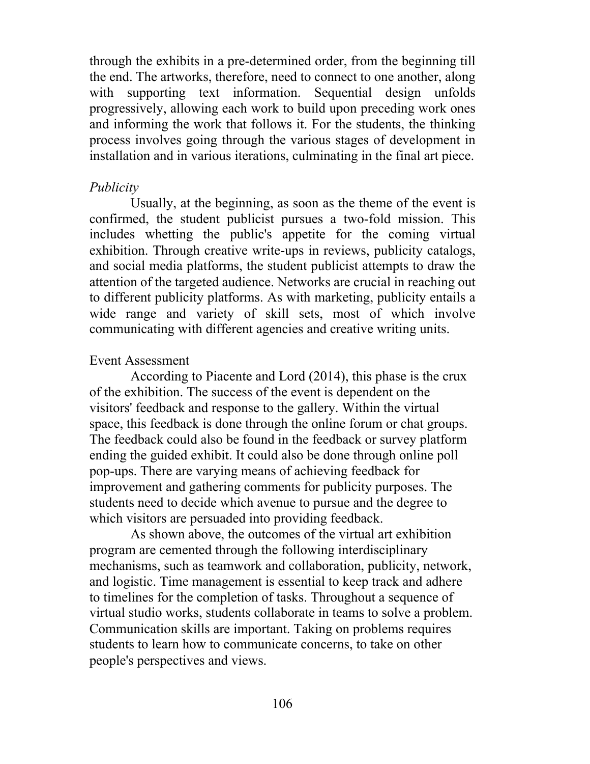through the exhibits in a pre-determined order, from the beginning till the end. The artworks, therefore, need to connect to one another, along with supporting text information. Sequential design unfolds progressively, allowing each work to build upon preceding work ones and informing the work that follows it. For the students, the thinking process involves going through the various stages of development in installation and in various iterations, culminating in the final art piece.

### *Publicity*

Usually, at the beginning, as soon as the theme of the event is confirmed, the student publicist pursues a two-fold mission. This includes whetting the public's appetite for the coming virtual exhibition. Through creative write-ups in reviews, publicity catalogs, and social media platforms, the student publicist attempts to draw the attention of the targeted audience. Networks are crucial in reaching out to different publicity platforms. As with marketing, publicity entails a wide range and variety of skill sets, most of which involve communicating with different agencies and creative writing units.

## Event Assessment

According to Piacente and Lord (2014), this phase is the crux of the exhibition. The success of the event is dependent on the visitors' feedback and response to the gallery. Within the virtual space, this feedback is done through the online forum or chat groups. The feedback could also be found in the feedback or survey platform ending the guided exhibit. It could also be done through online poll pop-ups. There are varying means of achieving feedback for improvement and gathering comments for publicity purposes. The students need to decide which avenue to pursue and the degree to which visitors are persuaded into providing feedback.

As shown above, the outcomes of the virtual art exhibition program are cemented through the following interdisciplinary mechanisms, such as teamwork and collaboration, publicity, network, and logistic. Time management is essential to keep track and adhere to timelines for the completion of tasks. Throughout a sequence of virtual studio works, students collaborate in teams to solve a problem. Communication skills are important. Taking on problems requires students to learn how to communicate concerns, to take on other people's perspectives and views.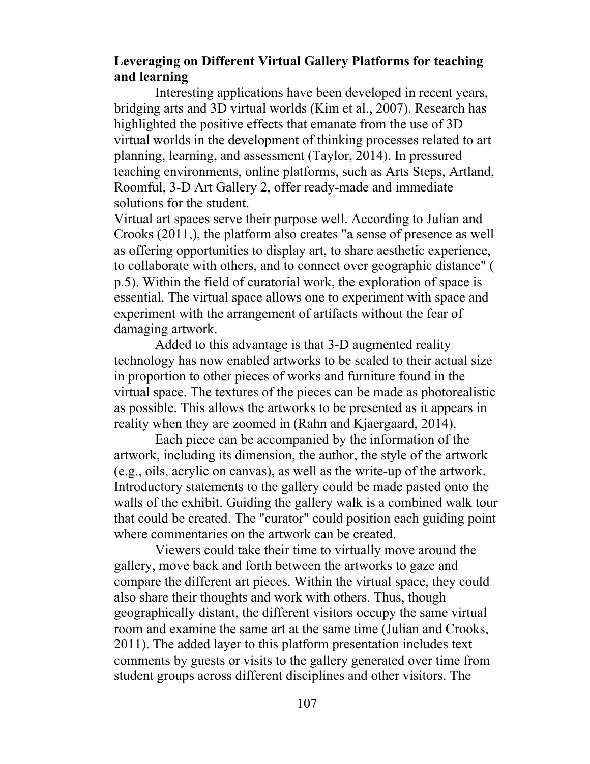## **Leveraging on Different Virtual Gallery Platforms for teaching and learning**

Interesting applications have been developed in recent years, bridging arts and 3D virtual worlds (Kim et al., 2007). Research has highlighted the positive effects that emanate from the use of 3D virtual worlds in the development of thinking processes related to art planning, learning, and assessment (Taylor, 2014). In pressured teaching environments, online platforms, such as Arts Steps, Artland, Roomful, 3-D Art Gallery 2, offer ready-made and immediate solutions for the student.

Virtual art spaces serve their purpose well. According to Julian and Crooks (2011,), the platform also creates "a sense of presence as well as offering opportunities to display art, to share aesthetic experience, to collaborate with others, and to connect over geographic distance" ( p.5). Within the field of curatorial work, the exploration of space is essential. The virtual space allows one to experiment with space and experiment with the arrangement of artifacts without the fear of damaging artwork.

Added to this advantage is that 3-D augmented reality technology has now enabled artworks to be scaled to their actual size in proportion to other pieces of works and furniture found in the virtual space. The textures of the pieces can be made as photorealistic as possible. This allows the artworks to be presented as it appears in reality when they are zoomed in (Rahn and Kjaergaard, 2014).

Each piece can be accompanied by the information of the artwork, including its dimension, the author, the style of the artwork (e.g., oils, acrylic on canvas), as well as the write-up of the artwork. Introductory statements to the gallery could be made pasted onto the walls of the exhibit. Guiding the gallery walk is a combined walk tour that could be created. The "curator" could position each guiding point where commentaries on the artwork can be created.

Viewers could take their time to virtually move around the gallery, move back and forth between the artworks to gaze and compare the different art pieces. Within the virtual space, they could also share their thoughts and work with others. Thus, though geographically distant, the different visitors occupy the same virtual room and examine the same art at the same time (Julian and Crooks, 2011). The added layer to this platform presentation includes text comments by guests or visits to the gallery generated over time from student groups across different disciplines and other visitors. The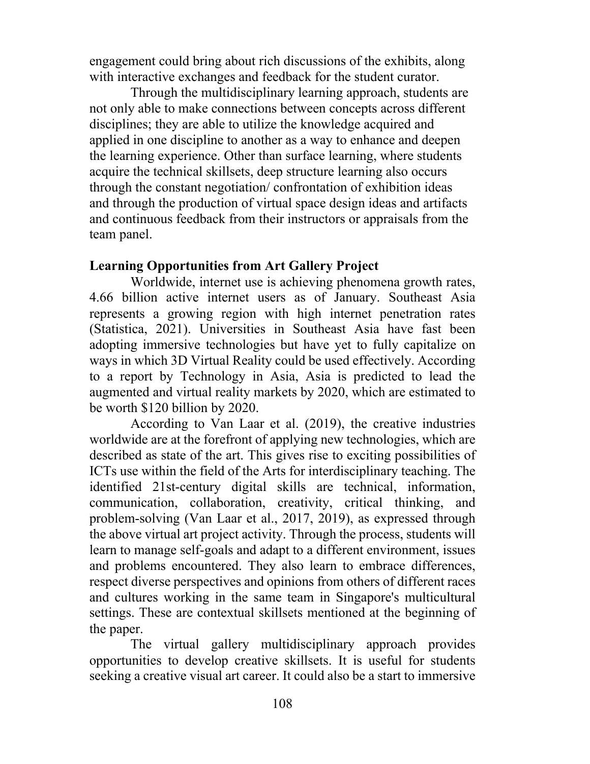engagement could bring about rich discussions of the exhibits, along with interactive exchanges and feedback for the student curator.

Through the multidisciplinary learning approach, students are not only able to make connections between concepts across different disciplines; they are able to utilize the knowledge acquired and applied in one discipline to another as a way to enhance and deepen the learning experience. Other than surface learning, where students acquire the technical skillsets, deep structure learning also occurs through the constant negotiation/ confrontation of exhibition ideas and through the production of virtual space design ideas and artifacts and continuous feedback from their instructors or appraisals from the team panel.

### **Learning Opportunities from Art Gallery Project**

Worldwide, internet use is achieving phenomena growth rates, 4.66 billion active internet users as of January. Southeast Asia represents a growing region with high internet penetration rates (Statistica, 2021). Universities in Southeast Asia have fast been adopting immersive technologies but have yet to fully capitalize on ways in which 3D Virtual Reality could be used effectively. According to a report by Technology in Asia, Asia is predicted to lead the augmented and virtual reality markets by 2020, which are estimated to be worth \$120 billion by 2020.

According to Van Laar et al. (2019), the creative industries worldwide are at the forefront of applying new technologies, which are described as state of the art. This gives rise to exciting possibilities of ICTs use within the field of the Arts for interdisciplinary teaching. The identified 21st-century digital skills are technical, information, communication, collaboration, creativity, critical thinking, and problem-solving (Van Laar et al., 2017, 2019), as expressed through the above virtual art project activity. Through the process, students will learn to manage self-goals and adapt to a different environment, issues and problems encountered. They also learn to embrace differences, respect diverse perspectives and opinions from others of different races and cultures working in the same team in Singapore's multicultural settings. These are contextual skillsets mentioned at the beginning of the paper.

The virtual gallery multidisciplinary approach provides opportunities to develop creative skillsets. It is useful for students seeking a creative visual art career. It could also be a start to immersive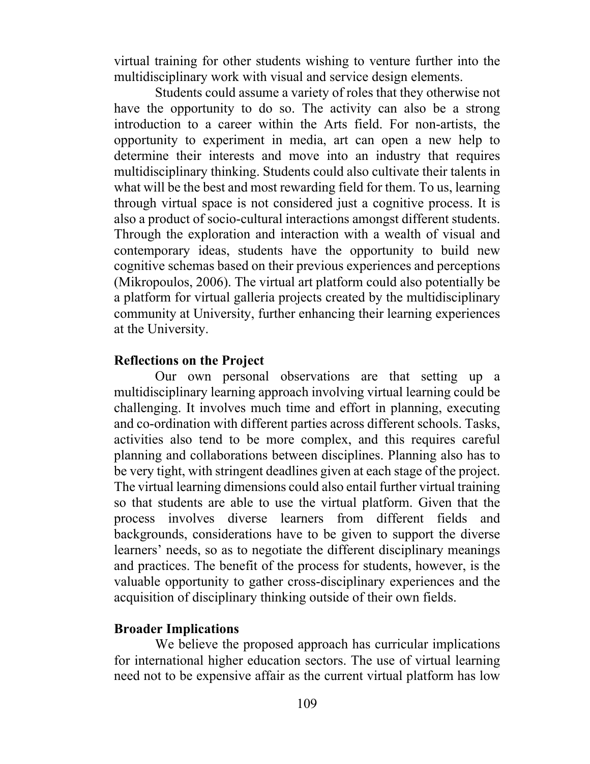virtual training for other students wishing to venture further into the multidisciplinary work with visual and service design elements.

Students could assume a variety of roles that they otherwise not have the opportunity to do so. The activity can also be a strong introduction to a career within the Arts field. For non-artists, the opportunity to experiment in media, art can open a new help to determine their interests and move into an industry that requires multidisciplinary thinking. Students could also cultivate their talents in what will be the best and most rewarding field for them. To us, learning through virtual space is not considered just a cognitive process. It is also a product of socio-cultural interactions amongst different students. Through the exploration and interaction with a wealth of visual and contemporary ideas, students have the opportunity to build new cognitive schemas based on their previous experiences and perceptions (Mikropoulos, 2006). The virtual art platform could also potentially be a platform for virtual galleria projects created by the multidisciplinary community at University, further enhancing their learning experiences at the University.

#### **Reflections on the Project**

Our own personal observations are that setting up a multidisciplinary learning approach involving virtual learning could be challenging. It involves much time and effort in planning, executing and co-ordination with different parties across different schools. Tasks, activities also tend to be more complex, and this requires careful planning and collaborations between disciplines. Planning also has to be very tight, with stringent deadlines given at each stage of the project. The virtual learning dimensions could also entail further virtual training so that students are able to use the virtual platform. Given that the process involves diverse learners from different fields and backgrounds, considerations have to be given to support the diverse learners' needs, so as to negotiate the different disciplinary meanings and practices. The benefit of the process for students, however, is the valuable opportunity to gather cross-disciplinary experiences and the acquisition of disciplinary thinking outside of their own fields.

#### **Broader Implications**

We believe the proposed approach has curricular implications for international higher education sectors. The use of virtual learning need not to be expensive affair as the current virtual platform has low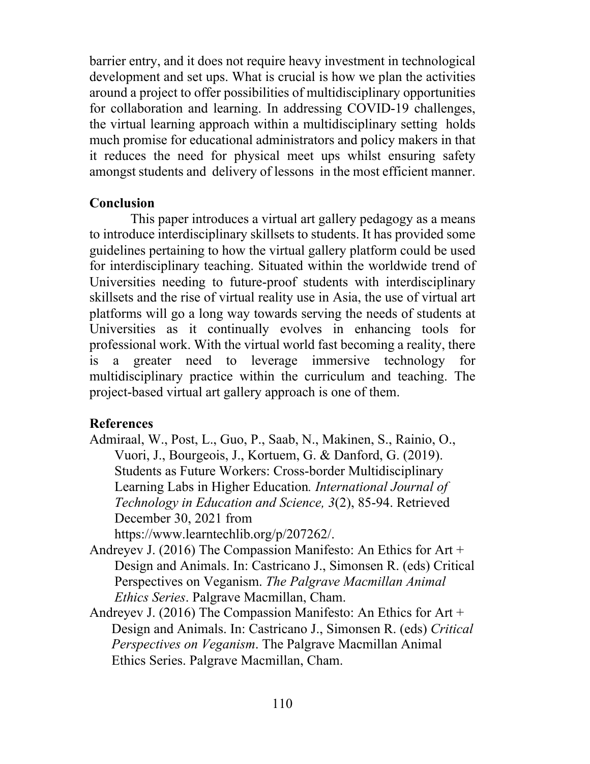barrier entry, and it does not require heavy investment in technological development and set ups. What is crucial is how we plan the activities around a project to offer possibilities of multidisciplinary opportunities for collaboration and learning. In addressing COVID-19 challenges, the virtual learning approach within a multidisciplinary setting holds much promise for educational administrators and policy makers in that it reduces the need for physical meet ups whilst ensuring safety amongst students and delivery of lessons in the most efficient manner.

## **Conclusion**

This paper introduces a virtual art gallery pedagogy as a means to introduce interdisciplinary skillsets to students. It has provided some guidelines pertaining to how the virtual gallery platform could be used for interdisciplinary teaching. Situated within the worldwide trend of Universities needing to future-proof students with interdisciplinary skillsets and the rise of virtual reality use in Asia, the use of virtual art platforms will go a long way towards serving the needs of students at Universities as it continually evolves in enhancing tools for professional work. With the virtual world fast becoming a reality, there is a greater need to leverage immersive technology for multidisciplinary practice within the curriculum and teaching. The project-based virtual art gallery approach is one of them.

## **References**

Admiraal, W., Post, L., Guo, P., Saab, N., Makinen, S., Rainio, O., Vuori, J., Bourgeois, J., Kortuem, G. & Danford, G. (2019). Students as Future Workers: Cross-border Multidisciplinary Learning Labs in Higher Education*. International Journal of Technology in Education and Science, 3*(2), 85-94. Retrieved December 30, 2021 from

https://www.learntechlib.org/p/207262/.

- Andreyev J. (2016) The Compassion Manifesto: An Ethics for Art + Design and Animals. In: Castricano J., Simonsen R. (eds) Critical Perspectives on Veganism. *The Palgrave Macmillan Animal Ethics Series*. Palgrave Macmillan, Cham.
- Andreyev J. (2016) The Compassion Manifesto: An Ethics for Art + Design and Animals. In: Castricano J., Simonsen R. (eds) *Critical Perspectives on Veganism*. The Palgrave Macmillan Animal Ethics Series. Palgrave Macmillan, Cham.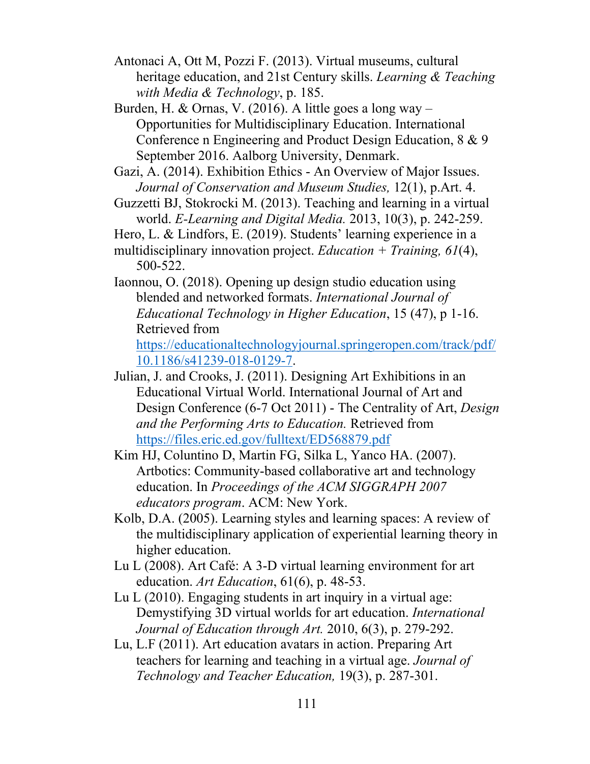- Antonaci A, Ott M, Pozzi F. (2013). Virtual museums, cultural heritage education, and 21st Century skills. *Learning & Teaching with Media & Technology*, p. 185.
- Burden, H. & Ornas, V. (2016). A little goes a long way Opportunities for Multidisciplinary Education. International Conference n Engineering and Product Design Education, 8 & 9 September 2016. Aalborg University, Denmark.
- Gazi, A. (2014). Exhibition Ethics An Overview of Major Issues. *Journal of Conservation and Museum Studies,* 12(1), p.Art. 4.
- Guzzetti BJ, Stokrocki M. (2013). Teaching and learning in a virtual world. *E-Learning and Digital Media.* 2013, 10(3), p. 242-259.
- Hero, L. & Lindfors, E. (2019). Students' learning experience in a
- multidisciplinary innovation project. *Education + Training, 61*(4), 500-522.
- Iaonnou, O. (2018). Opening up design studio education using blended and networked formats. *International Journal of Educational Technology in Higher Education*, 15 (47), p 1-16. Retrieved from

https://educationaltechnologyjournal.springeropen.com/track/pdf/ 10.1186/s41239-018-0129-7.

- Julian, J. and Crooks, J. (2011). Designing Art Exhibitions in an Educational Virtual World. International Journal of Art and Design Conference (6-7 Oct 2011) - The Centrality of Art, *Design and the Performing Arts to Education.* Retrieved from https://files.eric.ed.gov/fulltext/ED568879.pdf
- Kim HJ, Coluntino D, Martin FG, Silka L, Yanco HA. (2007). Artbotics: Community-based collaborative art and technology education. In *Proceedings of the ACM SIGGRAPH 2007 educators program*. ACM: New York.
- Kolb, D.A. (2005). Learning styles and learning spaces: A review of the multidisciplinary application of experiential learning theory in higher education.
- Lu L (2008). Art Café: A 3-D virtual learning environment for art education. *Art Education*, 61(6), p. 48-53.
- Lu L (2010). Engaging students in art inquiry in a virtual age: Demystifying 3D virtual worlds for art education. *International Journal of Education through Art.* 2010, 6(3), p. 279-292.
- Lu, L.F (2011). Art education avatars in action. Preparing Art teachers for learning and teaching in a virtual age. *Journal of Technology and Teacher Education,* 19(3), p. 287-301.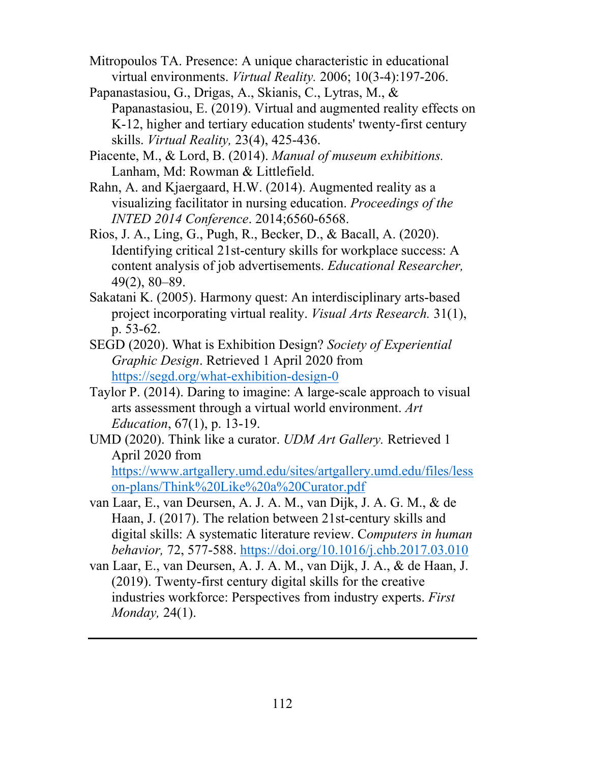- Mitropoulos TA. Presence: A unique characteristic in educational virtual environments. *Virtual Reality.* 2006; 10(3-4):197-206.
- Papanastasiou, G., Drigas, A., Skianis, C., Lytras, M., & Papanastasiou, E. (2019). Virtual and augmented reality effects on K-12, higher and tertiary education students' twenty-first century skills. *Virtual Reality,* 23(4), 425-436.
- Piacente, M., & Lord, B. (2014). *Manual of museum exhibitions.* Lanham, Md: Rowman & Littlefield.
- Rahn, A. and Kjaergaard, H.W. (2014). Augmented reality as a visualizing facilitator in nursing education. *Proceedings of the INTED 2014 Conference*. 2014;6560-6568.
- Rios, J. A., Ling, G., Pugh, R., Becker, D., & Bacall, A. (2020). Identifying critical 21st-century skills for workplace success: A content analysis of job advertisements. *Educational Researcher,* 49(2), 80–89.
- Sakatani K. (2005). Harmony quest: An interdisciplinary arts-based project incorporating virtual reality. *Visual Arts Research.* 31(1), p. 53-62.
- SEGD (2020). What is Exhibition Design? *Society of Experiential Graphic Design*. Retrieved 1 April 2020 from https://segd.org/what-exhibition-design-0
- Taylor P. (2014). Daring to imagine: A large-scale approach to visual arts assessment through a virtual world environment. *Art Education*, 67(1), p. 13-19.
- UMD (2020). Think like a curator. *UDM Art Gallery.* Retrieved 1 April 2020 from https://www.artgallery.umd.edu/sites/artgallery.umd.edu/files/less

on-plans/Think%20Like%20a%20Curator.pdf

- van Laar, E., van Deursen, A. J. A. M., van Dijk, J. A. G. M., & de Haan, J. (2017). The relation between 21st-century skills and digital skills: A systematic literature review. C*omputers in human behavior,* 72, 577-588. https://doi.org/10.1016/j.chb.2017.03.010
- van Laar, E., van Deursen, A. J. A. M., van Dijk, J. A., & de Haan, J. (2019). Twenty-first century digital skills for the creative industries workforce: Perspectives from industry experts. *First Monday,* 24(1).